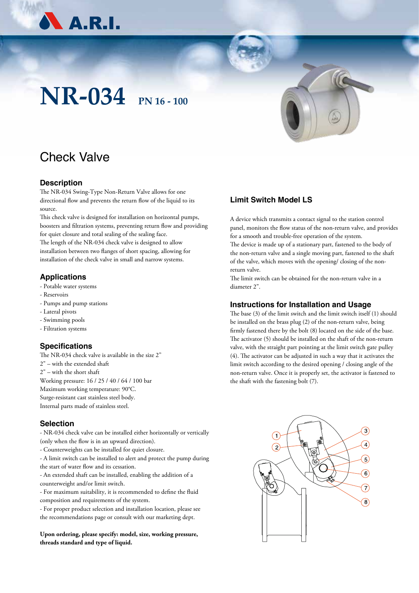

# **NR-034 PN 16 - 100**

# Check Valve

### **Description**

The NR-034 Swing-Type Non-Return Valve allows for one directional flow and prevents the return flow of the liquid to its source.

This check valve is designed for installation on horizontal pumps, boosters and filtration systems, preventing return flow and providing for quiet closure and total sealing of the sealing face. The length of the NR-034 check valve is designed to allow installation between two flanges of short spacing, allowing for installation of the check valve in small and narrow systems.

# **Applications**

- Potable water systems
- Reservoirs
- Pumps and pump stations
- Lateral pivots
- Swimming pools
- Filtration systems

# **Specifications**

The NR-034 check valve is available in the size 2" 2" – with the extended shaft 2" – with the short shaft Working pressure: 16 / 25 / 40 / 64 / 100 bar Maximum working temperature: 90°C. Surge-resistant cast stainless steel body. Internal parts made of stainless steel.

# **Selection**

- NR-034 check valve can be installed either horizontally or vertically (only when the flow is in an upward direction).

- Counterweights can be installed for quiet closure.

- A limit switch can be installed to alert and protect the pump during the start of water flow and its cessation.

- An extended shaft can be installed, enabling the addition of a counterweight and/or limit switch.

- For maximum suitability, it is recommended to define the fluid composition and requirements of the system.

- For proper product selection and installation location, please see the recommendations page or consult with our marketing dept.

**Upon ordering, please specify: model, size, working pressure, threads standard and type of liquid.**

# **Limit Switch Model LS**

A device which transmits a contact signal to the station control panel, monitors the flow status of the non-return valve, and provides for a smooth and trouble-free operation of the system.

The device is made up of a stationary part, fastened to the body of the non-return valve and a single moving part, fastened to the shaft of the valve, which moves with the opening/ closing of the nonreturn valve.

The limit switch can be obtained for the non-return valve in a diameter 2".

# **Instructions for Installation and Usage**

The base (3) of the limit switch and the limit switch itself (1) should be installed on the brass plug (2) of the non-return valve, being firmly fastened there by the bolt (8) located on the side of the base. The activator (5) should be installed on the shaft of the non-return valve, with the straight part pointing at the limit switch gate pulley (4). The activator can be adjusted in such a way that it activates the limit switch according to the desired opening / closing angle of the non-return valve. Once it is properly set, the activator is fastened to the shaft with the fastening bolt (7).